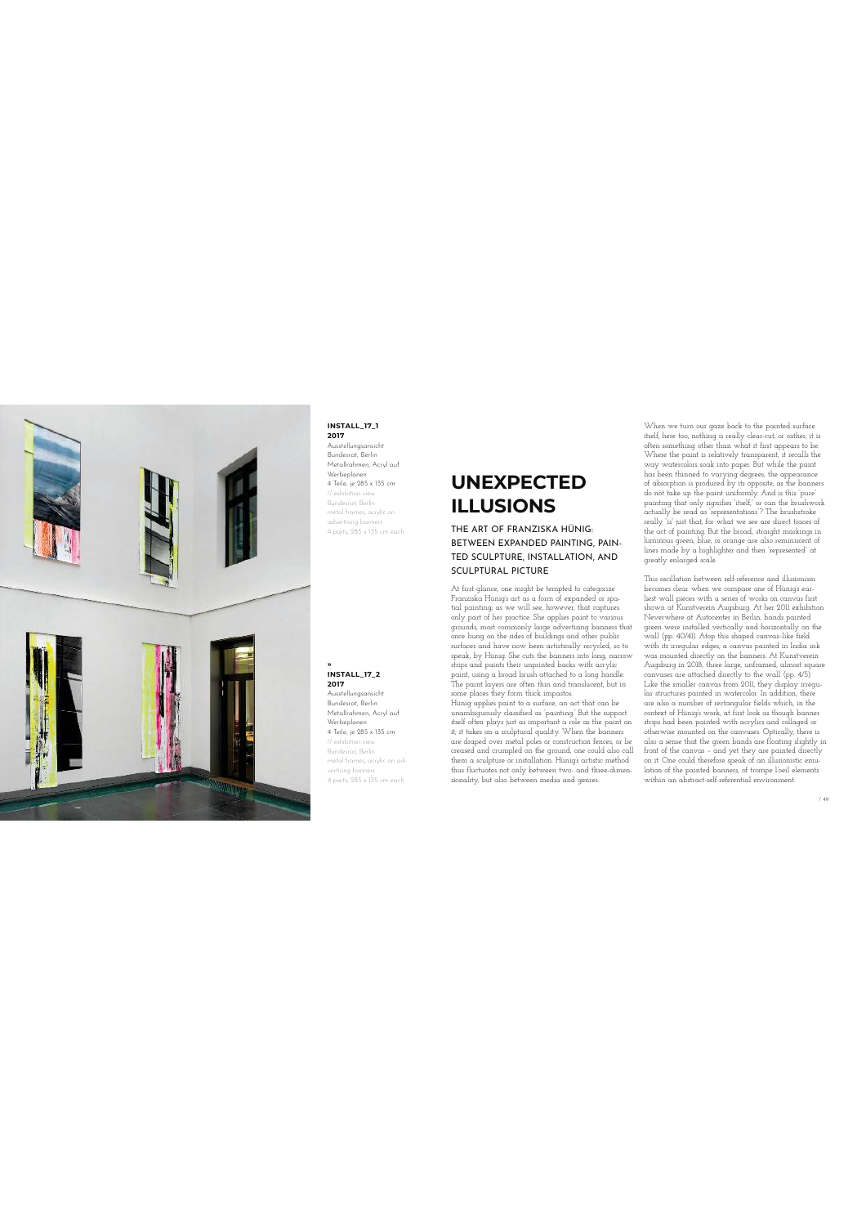

## **INSTALL\_17\_1**

**2017** Ausstellungsansicht Bundesrat, Berlin Metallrahmen, Acryl auf Werbeplanen 4 Teile, je 285 x 135 cm // exhibition view Bundesrat, Berlin metal frames, acrylic on advertising banners 4 parts, 285 x 135 cm each

**ٿ INSTALL\_17\_2 2017** Ausstellungsansicht Bundesrat, Berlin Metallrahmen, Acryl auf Werbeplanen 4 Teile, je 285 x 135 cm // exhibition view Bundesrat, Berlin metal frames, acrylic on advertising banners 4 parts, 285 x 135 cm each

## **UNEXPECTED ILLUSIONS**

THE ART OF FRANZISKA HÜNIG: BETWEEN EXPANDED PAINTING, PAIN-TED SCULPTURE, INSTALLATION, AND SCULPTURAL PICTURE

At first glance, one might be tempted to categorize<br>Franziska Hünig's art as a form of expanded or spa-<br>tial painting; as we will see, however, that captures<br>only part of her practice. She applies paint to various grounds, most commonly large advertising banners that<br>once hung on the sides of buildings and other public<br>surfaces and have now been artistically recycled, so to<br>speak, by Hünig. She cuts the banners into long, narrow<br>str some places they form thick impastos.

Hünig applies paint to a surface, an act that can be<br>unambiguously classified as "painting". But the support<br>itself often plays just as important a role as the paint on<br>it, it takes on a sculptural quality. When the banner are draped over metal poles or construction fences, or lie creased and crumpled on the ground, one could also call them a sculpture or installation. Hünig's artistic method thus fluctuates not only between two- and three-dimensionality, but also between media and genres.

When we turn our gaze back to the painted surface itself, here too, nothing is really clear-cut, or rather, it is often something other than what it first appears to be. Where the paint is relatively transparent, it recalls the way watercolors soak into paper. But while the paint<br>has been thinned to varying degrees, the appearance<br>of absorption is produced by its opposite, as the banners<br>do not take up the paint uniformly. And is this "pure"<br>pain luminous green, blue, or orange are also reminiscent of lines made by a highlighter and then "represented" at greatly enlarged scale.

This oscillation between self-reference and illusionism becomes clear when we compare one of Hünig's ear-liest wall pieces with a series of works on canvas first shown at Kunstverein Augsburg. At her 2011 exhibition Neverwhere at Autocenter in Berlin, bands painted green were installed vertically and horizontally on the<br>wall (pp. 40/41). Atop this shaped canvas-like field<br>with its irregular edges, a canvas painted in India ink<br>was mounted directly on the banners. At Kunstverein<br>Augsb strips had been painted with acrylics and collaged or<br>otherwise mounted on the canvases. Optically, there is<br>also a sense that the green bands are floating slightly in<br>front of the canvas - and yet they are painted directl lation of the painted banners, of trompe l'oeil elements within an abstract-self-referential environment.